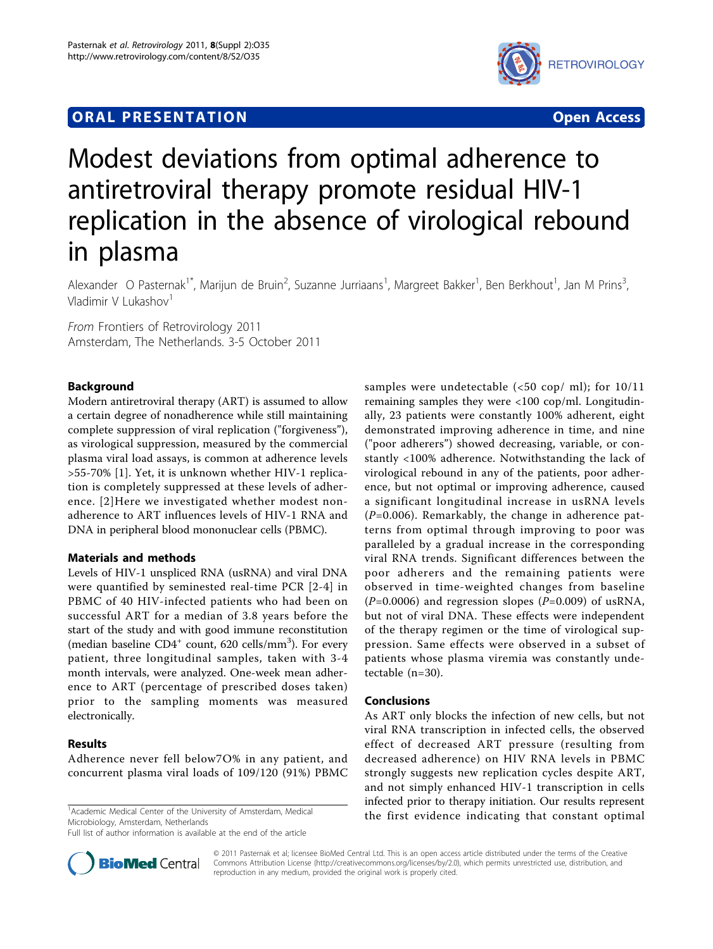## **ORAL PRESENTATION OPEN ACCESS**



# Modest deviations from optimal adherence to antiretroviral therapy promote residual HIV-1 replication in the absence of virological rebound in plasma

Alexander O Pasternak<sup>1\*</sup>, Marijun de Bruin<sup>2</sup>, Suzanne Jurriaans<sup>1</sup>, Margreet Bakker<sup>1</sup>, Ben Berkhout<sup>1</sup>, Jan M Prins<sup>3</sup> , Vladimir V Lukashov $1$ 

From Frontiers of Retrovirology 2011 Amsterdam, The Netherlands. 3-5 October 2011

## Background

Modern antiretroviral therapy (ART) is assumed to allow a certain degree of nonadherence while still maintaining complete suppression of viral replication ("forgiveness"), as virological suppression, measured by the commercial plasma viral load assays, is common at adherence levels >55-70% [[1](#page-1-0)]. Yet, it is unknown whether HIV-1 replication is completely suppressed at these levels of adherence. [[2](#page-1-0)]Here we investigated whether modest nonadherence to ART influences levels of HIV-1 RNA and DNA in peripheral blood mononuclear cells (PBMC).

## Materials and methods

Levels of HIV-1 unspliced RNA (usRNA) and viral DNA were quantified by seminested real-time PCR [[2](#page-1-0)-[4](#page-1-0)] in PBMC of 40 HIV-infected patients who had been on successful ART for a median of 3.8 years before the start of the study and with good immune reconstitution (median baseline  $CD4^+$  count, 620 cells/mm<sup>3</sup>). For every patient, three longitudinal samples, taken with 3-4 month intervals, were analyzed. One-week mean adherence to ART (percentage of prescribed doses taken) prior to the sampling moments was measured electronically.

## Results

Adherence never fell below7O% in any patient, and concurrent plasma viral loads of 109/120 (91%) PBMC

<sup>1</sup> Academic Medical Center of the University of Amsterdam, Medical Microbiology, Amsterdam, Netherlands

Full list of author information is available at the end of the article



## Conclusions

As ART only blocks the infection of new cells, but not viral RNA transcription in infected cells, the observed effect of decreased ART pressure (resulting from decreased adherence) on HIV RNA levels in PBMC strongly suggests new replication cycles despite ART, and not simply enhanced HIV-1 transcription in cells infected prior to therapy initiation. Our results represent the first evidence indicating that constant optimal



© 2011 Pasternak et al; licensee BioMed Central Ltd. This is an open access article distributed under the terms of the Creative Commons Attribution License [\(http://creativecommons.org/licenses/by/2.0](http://creativecommons.org/licenses/by/2.0)), which permits unrestricted use, distribution, and reproduction in any medium, provided the original work is properly cited.